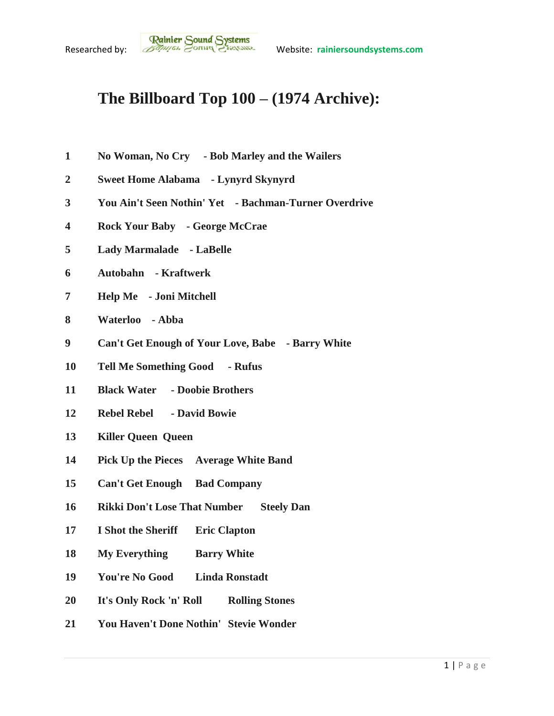## **The Billboard Top 100 – (1974 Archive):**

- **No Woman, No Cry - Bob Marley and the Wailers**
- **Sweet Home Alabama - Lynyrd Skynyrd**
- **You Ain't Seen Nothin' Yet - Bachman-Turner Overdrive**
- **Rock Your Baby - George McCrae**
- **Lady Marmalade - LaBelle**
- **Autobahn - Kraftwerk**
- **Help Me - Joni Mitchell**
- **Waterloo - Abba**
- **Can't Get Enough of Your Love, Babe - Barry White**
- **Tell Me Something Good - Rufus**
- **Black Water - Doobie Brothers**
- **Rebel Rebel - David Bowie**
- **Killer Queen Queen**
- **Pick Up the Pieces Average White Band**
- **Can't Get Enough Bad Company**
- **Rikki Don't Lose That Number Steely Dan**
- **I Shot the Sheriff Eric Clapton**
- **My Everything Barry White**
- **You're No Good Linda Ronstadt**
- **It's Only Rock 'n' Roll Rolling Stones**
- **You Haven't Done Nothin' Stevie Wonder**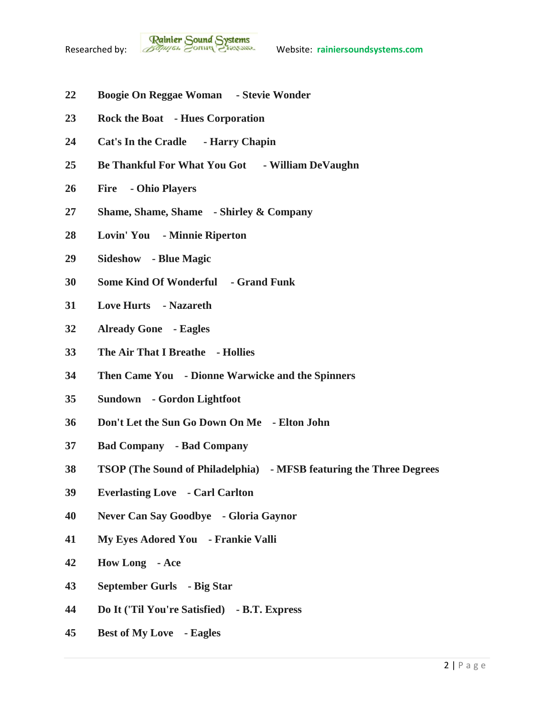

- **Boogie On Reggae Woman - Stevie Wonder**
- **Rock the Boat - Hues Corporation**
- **Cat's In the Cradle - Harry Chapin**
- **Be Thankful For What You Got - William DeVaughn**
- **Fire - Ohio Players**
- **Shame, Shame, Shame - Shirley & Company**
- **Lovin' You - Minnie Riperton**
- **Sideshow - Blue Magic**
- **Some Kind Of Wonderful - Grand Funk**
- **Love Hurts - Nazareth**
- **Already Gone - Eagles**
- **The Air That I Breathe - Hollies**
- **Then Came You - Dionne Warwicke and the Spinners**
- **Sundown - Gordon Lightfoot**
- **Don't Let the Sun Go Down On Me - Elton John**
- **Bad Company - Bad Company**
- **TSOP (The Sound of Philadelphia) - MFSB featuring the Three Degrees**
- **Everlasting Love - Carl Carlton**
- **Never Can Say Goodbye - Gloria Gaynor**
- **My Eyes Adored You - Frankie Valli**
- **How Long - Ace**
- **September Gurls - Big Star**
- **Do It ('Til You're Satisfied) - B.T. Express**
- **Best of My Love - Eagles**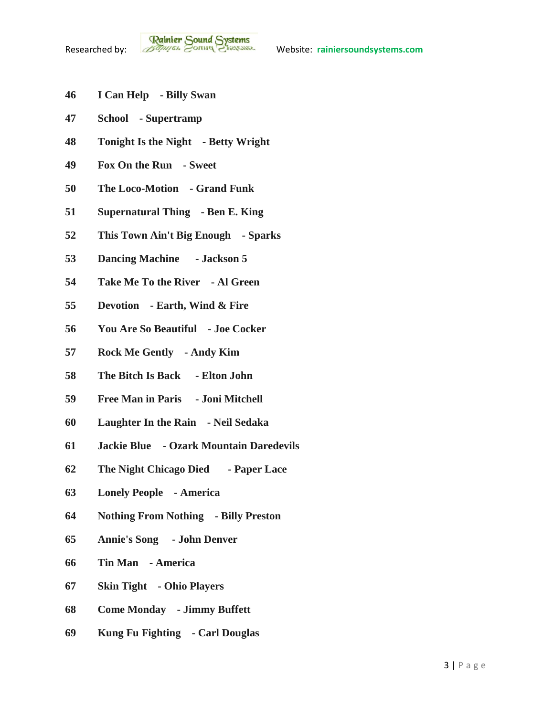- **I Can Help - Billy Swan**
- **School - Supertramp**
- **Tonight Is the Night - Betty Wright**
- **Fox On the Run - Sweet**
- **The Loco-Motion - Grand Funk**
- **Supernatural Thing - Ben E. King**
- **This Town Ain't Big Enough - Sparks**
- **Dancing Machine - Jackson 5**
- **Take Me To the River - Al Green**
- **Devotion - Earth, Wind & Fire**
- **You Are So Beautiful - Joe Cocker**
- **Rock Me Gently - Andy Kim**
- **The Bitch Is Back - Elton John**
- **Free Man in Paris - Joni Mitchell**
- **Laughter In the Rain - Neil Sedaka**
- **Jackie Blue - Ozark Mountain Daredevils**
- **The Night Chicago Died - Paper Lace**
- **Lonely People - America**
- **Nothing From Nothing - Billy Preston**
- **Annie's Song - John Denver**
- **Tin Man - America**
- **Skin Tight - Ohio Players**
- **Come Monday - Jimmy Buffett**
- **Kung Fu Fighting - Carl Douglas**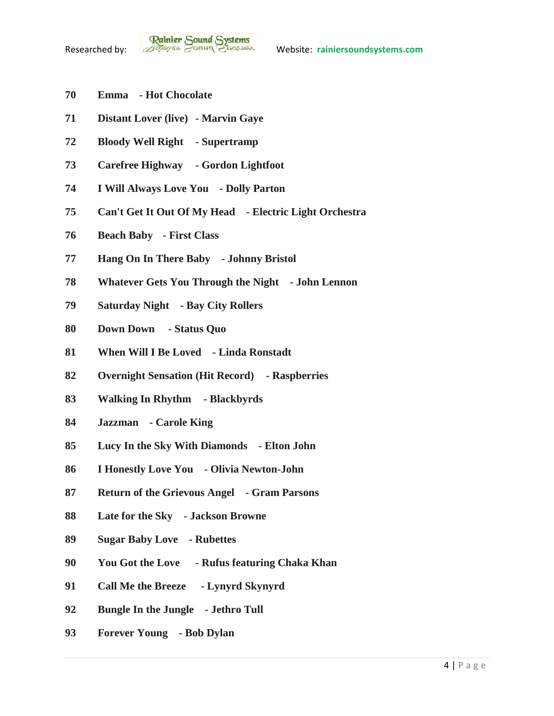- **Emma - Hot Chocolate**
- **Distant Lover (live) - Marvin Gaye**
- **Bloody Well Right - Supertramp**
- **Carefree Highway - Gordon Lightfoot**
- **I Will Always Love You - Dolly Parton**
- **Can't Get It Out Of My Head - Electric Light Orchestra**
- **Beach Baby - First Class**
- **Hang On In There Baby - Johnny Bristol**
- **Whatever Gets You Through the Night - John Lennon**
- **Saturday Night - Bay City Rollers**
- **Down Down - Status Quo**
- **When Will I Be Loved - Linda Ronstadt**
- **Overnight Sensation (Hit Record) - Raspberries**
- **Walking In Rhythm - Blackbyrds**
- **Jazzman - Carole King**
- **Lucy In the Sky With Diamonds - Elton John**
- **I Honestly Love You - Olivia Newton-John**
- **Return of the Grievous Angel - Gram Parsons**
- **Late for the Sky - Jackson Browne**
- **Sugar Baby Love - Rubettes**
- **You Got the Love - Rufus featuring Chaka Khan**
- **Call Me the Breeze - Lynyrd Skynyrd**
- **Bungle In the Jungle - Jethro Tull**
- **Forever Young - Bob Dylan**